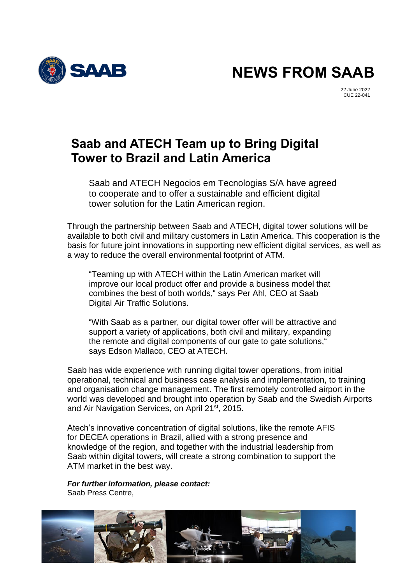

**NEWS FROM SAAB**

22 June 2022 CUE 22-041

## **Saab and ATECH Team up to Bring Digital Tower to Brazil and Latin America**

Saab and ATECH Negocios em Tecnologias S/A have agreed to cooperate and to offer a sustainable and efficient digital tower solution for the Latin American region.

Through the partnership between Saab and ATECH, digital tower solutions will be available to both civil and military customers in Latin America. This cooperation is the basis for future joint innovations in supporting new efficient digital services, as well as a way to reduce the overall environmental footprint of ATM.

"Teaming up with ATECH within the Latin American market will improve our local product offer and provide a business model that combines the best of both worlds," says Per Ahl, CEO at Saab Digital Air Traffic Solutions.

"With Saab as a partner, our digital tower offer will be attractive and support a variety of applications, both civil and military, expanding the remote and digital components of our gate to gate solutions," says Edson Mallaco, CEO at ATECH.

Saab has wide experience with running digital tower operations, from initial operational, technical and business case analysis and implementation, to training and organisation change management. The first remotely controlled airport in the world was developed and brought into operation by Saab and the Swedish Airports and Air Navigation Services, on April 21<sup>st</sup>, 2015.

Atech's innovative concentration of digital solutions, like the remote AFIS for DECEA operations in Brazil, allied with a strong presence and knowledge of the region, and together with the industrial leadership from Saab within digital towers, will create a strong combination to support the ATM market in the best way.

*For further information, please contact:* Saab Press Centre,